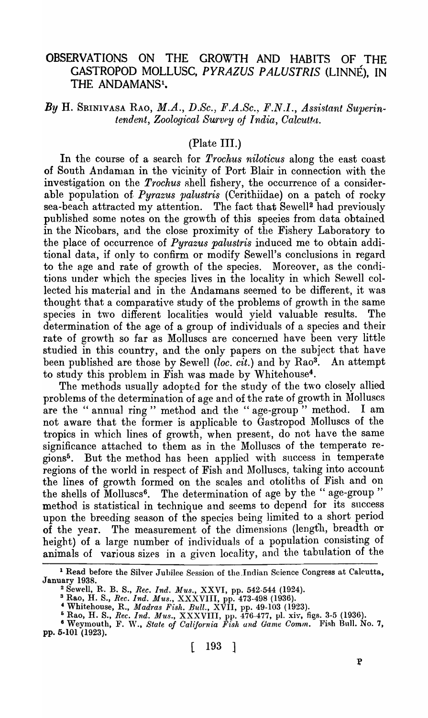## OBSERVATIONS ON THE GROWTH AND HABITS OF THE GASTROPOD MOLLUSC, *PYRAZUS P ALUSTRIS* (LINNE), IN THE ANDAMANS<sup>1</sup>.

## *By* H. SRINIVASA RAO, *M.A., D.Sc., F.A.Sc., F.N.I., Assistant Superintendent, Zoological Survey of India, Calcutta.*

### (Plate III.)

In the course of a search for *Trochus niloticus* along the east coast of South Andaman in the vicinity of Port Blair in connection with the investigation on the *Trochus* shell fishery, the occurrence of a considerable population of. *Pyrazus palustris* (Cerithiidae) on a patch of rocky sea-beach attracted my attention. The fact that Sewell<sup>2</sup> had previously published some notes on the growth of this species from data obtained in the Nicobars, and the close proximity of the Fishery Laboratory to the place of occurrence of *Pyrazus palustris* induced me to obtain additional data, if only to confirm or modify Sewell's conclusions in regard to the age and rate of growth of the species. Moreover, as the conditions under which the species lives in the locality in which Sewell collected his material and in the Andamans seemed to be different, it was thought that a comparative study of the problems of growth in the same species in two different localities would yield valuable results. The determination of the age of a group of individuals of a species and their rate of growth so far as Molluscs are concerned have been very little studied in this country, and the only papers on the subject that have been published are those by Sewell *(loc. cit.)* and by Rao<sup>3</sup>. An attempt to study this problem in Fish was made by Whitehouse<sup>4</sup>.

The methods usually adopted for the study of the two closely allied problems of the determination of age and of the rate of growth in Molluscs are the "annual ring" method and the "age-group" method. I am not aware that the forrner is applicable to Gastropod Molluscs of the tropics in which lines of growth, when present, do not have the same significance attached to them as in the Molluscs of the temperate regions5 • But the method has been applied with success in temperate regions of the world in respect of Fish and Molluscs, taking into account the lines of growth formed on the scales and otoliths of Fish and on the shells of Molluscs<sup>6</sup>. The determination of age by the "age-group" method is statistical in technique and seems to depend for its success upon the breeding season of the species being limited to a short period of the year. The measurement of the dimensions (length, breadth or height) of a large number of individuals of a population consisting of animals of various sizes in a given locality, and the tabulation of the

<sup>&</sup>lt;sup>1</sup> Read before the Silver Jubilee Session of the Indian Science Congress at Calcutta, January 1938.

<sup>&</sup>lt;sup>2</sup> Sewell, R. B. S., *Rec. Ind. Mus.*, XXVI, pp. 542-544 (1924).

<sup>3</sup> Rao, H. S., *Rec. Ind. Mus.,* XXXVIII, pp. 473-498 (1936).

<sup>4</sup> Whitehouse, R., *Madras Fish. Bull.,* XVII, pp. 49-103 (1923).

<sup>5</sup> Rao, H. S., *Rec. Ind. Mus.,* XXXVIII, pp. 476-477, pI. xiv, figs. 3-5 (1936).

<sup>&</sup>lt;sup>6</sup> Weymouth, F. W., *State of California Fish and Game Comm.* Fish Bull. No. 7, pp. 5-101 (1923).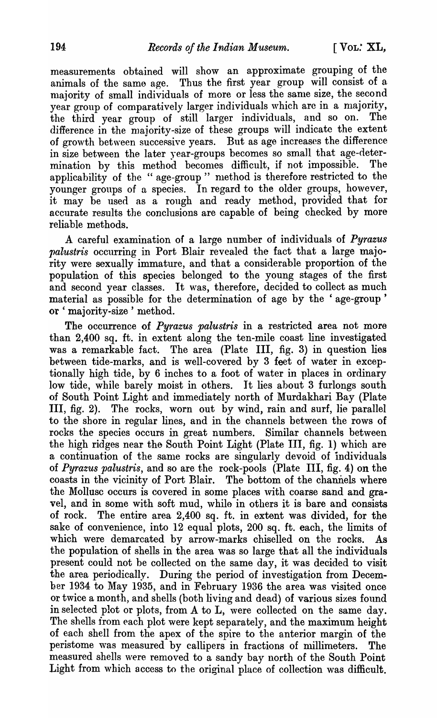measurements obtained will show an approximate grouping of the animals of the same age. Thus the first year group will consist of a majority of small individuals of more or less the same size, the second year group of comparatively larger individuals which are in a majority, the third year group of still larger individuals, and so on. The difference in the majority-size of these groups will indicate the extent of growth between successive years. But as age increases the difference in size between the later year-groups becomes so small that age-determination by this method becomes difficult, if not impossible. The applicability of the "age-group" method is therefore restricted to the younger groups of a species. In regard to the older groups, however, it may be used as a rough and ready method, provided that for accurate results the conclusions are capable of being checked by more reliable methods.

A careful examination of a large number of individuals of *Pyrazus palustris* occurring in Port Blair revealed the fact that a large majority were sexually immature, and that a considerable proportion of the population of this species belonged to the young stages of the first and second year classes. It was, therefore, decided to collect as much material as possible for the determination of age by the 'age-group' or 'majority-size' method.

The occurrence of *Pyrazus palustris* in a restricted area not more than 2,400 sq. ft. in extent along the ten-mile coast line investigated was a remarkable fact. The area (Plate III, fig. 3) in question lies between tide-marks, and is well-covered by 3 feet of water in exceptionally high tide, by 6 inches to a foot of water in places in ordinary low tide, while barely moist in others. It lies about 3 furlongs south of South Point Light and immediately north of Murdakhari Bay (Plate III, fig. 2). The rocks, worn out by wind, rain and surf, lie parallel to the shore in regular lines, and in the channels between the rows of rocks the species occurs in great numbers. Similar channels between the high ridges near the South Point Light (Plate III, fig. 1) which are a continuation of the same rocks are singularly devoid of individuals of *Pyrazus palustris*, and so are the rock-pools (Plate III, fig. 4) on the coasts in the vicinity of Port Blair. The bottom of the channels where the Mollusc occurs is covered in some places with coarse sand and gravel, and in some with soft mud, while in others it is bare and consists of rock. The entire area 2,400 sq. ft. in extent was divided, for the sake of convenience, into 12 equal plots, 200 sq. ft. each, the limits of which were demarcated by arrow-marks chiselled on the rocks. As the population of shells in the area was so large that all the individuals present could not be collected on the same day, it was decided to visit the area periodically. During the period of investigation from Decemher 1934 to May 1935, and in February 1936 the area was visited once or twice a month, and shells (both living and dead) of various sizes found in selected plot or plots, from A to L, were collected on the same day. The shells from each plot were kept separately, and the maximum height of each shell from the apex of the spire to the anterior margin of the peristome was measured by callipers in fractions of millimeters. The measured shells were removed to a sandy bay north of the South Point Light from which access to the original place of collection was difficult.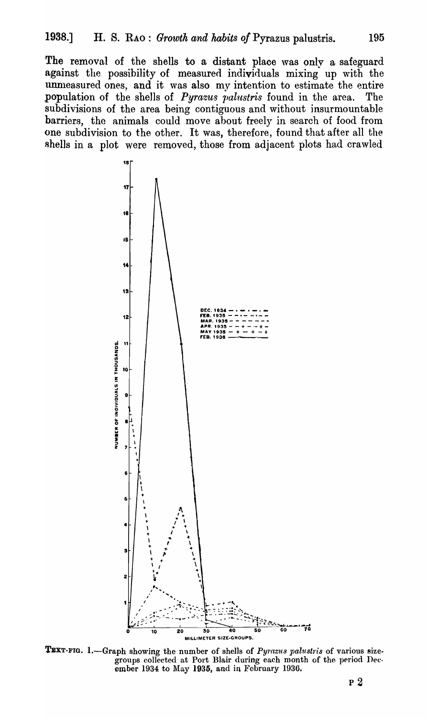The removal of the shells to a distant place was only a safeguard against the possibility of measured individuals mixing up with the unmeasured ones, and it was also my intention to estimate the entire population of the shells of *Pyrazus palustris* found in the area. The subdivisions of the area being contiguous and without insurmountable barriers, the animals could move about freely in search of food from one subdivision to the other. It was, therefore, found that after all the shells in a plot were removed, those from adjacent plots had crawled



TEXT-FIG. 1.-Graph showing the number of shells of Pyrazus palustris of various sizegroups collected at Port Blair during each month of the period December 1934 to May 1935, and in February 1936.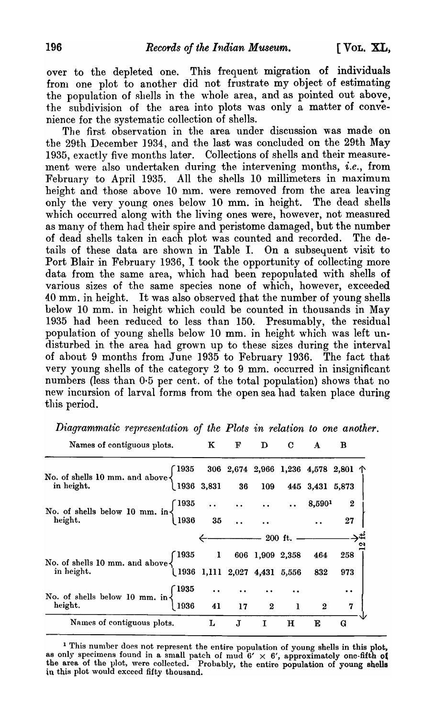over to the depleted one. This frequent migration of individuals from one plot to another did not frustrate my object of estimating the population of shells in the whole area, and as pointed out above, the subdivision of the area into plots was only a matter of convenience for the systematic collection of shells.

The first observation in the area under discussion was made on the 29th December 1934, and the last was concluded on the 29th May 1935, exactly five months later. Collections of shells and their measurement were also undertaken during the intervening months, *i.e.*, from February to April 1935. All the shells 10 millimeters in maximum height and those above 10 mm. were removed from the area leaving only the very young ones below 10 mm. in height. The dead shells which occurred along with the living ones were, however, not measured as many of them had their spire and peristome damaged, but the number of dead shells taken in each plot was counted and recorded. The details of these data are shown in Table I. On a subsequent visit to Port Blair in February 1936, I took the opportunity of collecting more data from the same area, which had been repopulated with shells of various sizes of the same species none of which, however, exceeded 40 mm. in height. It was also observed that the number of young shells below 10 mm. in height which could be counted in thousands in May 1935 had been reduced to less than 150. Presumably, the residual population of young shells below 10 mm. in height which was left undisturbed in the area had grown up to these sizes during the interval of about 9 months from June 1935 to February 1936. The fact that very young shells of the category  $2$  to  $9$  mm. occurred in insignificant numbers (less than 0-5 per cent. of the total population) shows that no new incursion of larval forms from the open sea had taken place during this period.

| requires of contriguous prots.                                                                                                                                                                      | TT. | $\mathbf{r}$                        | ₽ | ັ | A | ൰        |
|-----------------------------------------------------------------------------------------------------------------------------------------------------------------------------------------------------|-----|-------------------------------------|---|---|---|----------|
|                                                                                                                                                                                                     |     |                                     |   |   |   |          |
| No. of shells 10 mm. and above $\left\{\n\begin{array}{ccc}\n1935 & 306 & 2,674 & 2,966 & 1,236 & 4,578 & 2,801 & \uparrow \\ 1936 & 3,831 & 36 & 109 & 445 & 3,431 & 5,873\n\end{array}\n\right\}$ |     |                                     |   |   |   |          |
| No. of shells below 10 mm. in $\begin{cases} 1935 & \dots & \dots & \dots & 8,590^1 & 2 \\ 1936 & 35 & \dots & \dots & 27 \end{cases}$                                                              |     |                                     |   |   |   |          |
|                                                                                                                                                                                                     |     |                                     |   |   |   |          |
|                                                                                                                                                                                                     |     | $\frac{1}{200}$ ft. $\frac{1}{200}$ |   |   |   |          |
| No. of shells 10 mm. and above $\begin{cases} 1935 & 1 & 606 & 1,909 & 2,358 & 464 \ \text{in height.} & 1936 & 1,111 & 2,027 & 4,431 & 5,556 & 832 \end{cases}$                                    |     |                                     |   |   |   | 258      |
|                                                                                                                                                                                                     |     |                                     |   |   |   | 973      |
| No. of shells below 10 mm. in $\begin{cases} 1935 & \cdots & \cdots & \cdots \\ 1936 & 41 & 17 & 2 & 1 & 2 \end{cases}$<br>Names of contiguous plots. L J I H E G                                   |     |                                     |   |   |   |          |
|                                                                                                                                                                                                     |     |                                     |   |   |   | $\bf{7}$ |
|                                                                                                                                                                                                     |     |                                     |   |   |   |          |

*Diagrammatic representation of the Plots in relation to one another.*<br>
Names of contiguous plots. K F D C A B

<sup>1</sup> This number does not represent the entire population of young shells in this plot, as only specimens found in a small patch of mud  $6' \times 6'$ , approximately one-fifth of the area of the plot, were collected. Probably, the entire population of young shells in this plot would exceed fifty thousand.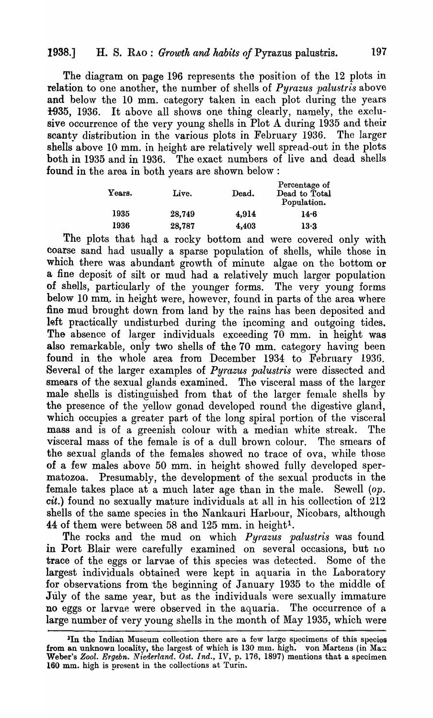## 1938.] H. S. RAO: *Growth and habits of Pyrazus palustris.* 197

The diagram on page 196 represents the position of the 12 plots in. relation to one another, the number of shells of *Pyrazus palustris* above and below the 10 mm. category taken in each plot during the years 1935, 1936. It above all shows one thing clearly, namely, the exclusive occurrence of the very young shells in Plot A during 1935 and their scanty distribution in the various plots in February 1936. The larger shells above 10 mm. in height are relatively well spread-out in the plots both in 1935 and in 1936. The exact numbers of live and dead shells found in the area in both years are shown below :

| Live.  | Dead. | Percentage of<br>Dead to Total<br>Population. |  |  |
|--------|-------|-----------------------------------------------|--|--|
| 28,749 | 4,914 | 14.6                                          |  |  |
| 28,787 | 4,403 | 13.3                                          |  |  |
|        |       |                                               |  |  |

The plots that had a rocky bottom and were covered only with coarse sand had usually a sparse population of shells, while those in which there was abundant growth of minute algae on the bottom or a fine deposit of silt or mud had a relatively much largor population of shells, particularly of the younger forms. The very young forms below 10 mm. in height were, however, found in parts of the area where fine mud brought down from land by the rains has been deposited and left practically undisturbed during the incoming and outgoing tides. The absence of larger individuals exceeding 70 mm. in height was also remarkable, only two shells of the 70 mm. category having been found in the whole area from December 1934 to February 1936. Several of the larger examples of *Pyrazus palustris* were dissected and smears of the sexual glands examined. The visceral mass of the larger male shells is distinguished from that of the larger female shells by the presence of the yellow gonad developed round the digestive gland, which occupies a greater part of the long spiral portion of the visceral mass and is of a greenish colour with a median white streak. The visceral mass of the female is of a. dull brown colour. The smears of the sexual glands of the females showed no trace of ova, while those of a few males above 50 mm. in height showed fully developed spermatozoa. Presumably, the development of the sexual products in the female takes place at a much later age than in the male. Sewell *(op. cit.)* found no sexually mature individuals at all in his colleetion of 212 shells of the same species in the Nankauri Harbour, Nicobars, although 44 of them were between 58 and 125 mm. in height<sup>1</sup>.

The rocks and the mud on which *Pyrazus palustris* was found in Port Blair were carefully examined on several occasions, but no trace of the eggs or larvae of this species was detected. Some of the largest individuals obtained were kept in aquaria in the Laboratory for observations from the beginning of January 1935 to the middle of July of the same year, but as the individuals were sexually immature no eggs or larvae were observed in the aquaria. The occurrence of a large number of very young shells in the month of May 1935, which were

<sup>&</sup>lt;sup>1</sup>In the Indian Museum collection there are a few large specimens of this species from an unknown locality, the largest of which is 130 mm. high. von Martens (in Max. Weber's Zool. Ergebn. Niederland. Ost. Ind., IV, p. 176, 1897) mentions that a specimen 160 mm. high is prosent in the collections at Turin.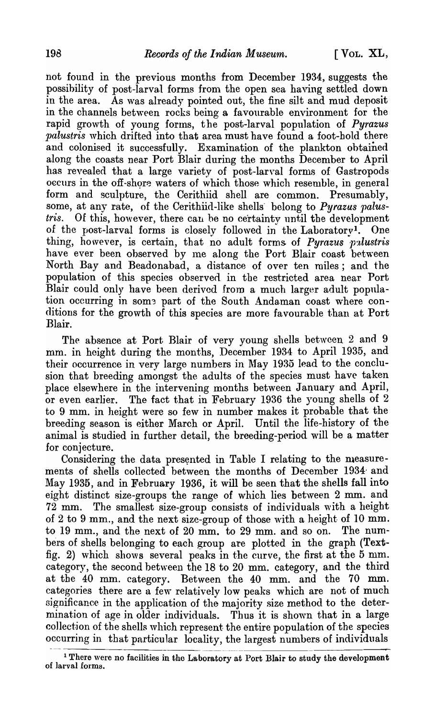not found in the previous months from December 1934, suggests the possibility of post-larval forms from the open sea having settled down in the area. As was already pointed out, the fine silt and mud deposit in the channels between rocks being a favourable environment for the rapid growth of young forms, the post-larval population of *Pyrazus palustris* which drifted into that area must have found a foot-hold there and colonised it successfully. Examination of the plankton obtained along the coasts near Port Blair during the months December to April has revealed that a large variety of post-larval forms of Gastropods occurs in the off-shore waters of which those which resemble, in general form and sculpture, the Cerithiid shell are common. Presumably, some, at any rate, of the Cerithiid-like shells" belong to *Pyrazus palustris.* Of this, however, there can be no certainty until the development of the post-larval forms is closely followed in the Laboratory<sup>1</sup>. One thing, however, is certain, that no adult forms of *Pyrazus palustris* have ever been observed by me along the Port Blair coast between North Bay and Beadonabad, a distance of over ten miles; and the population of this species observed in the restricted area near Port Blair could only have been derived from a much larger adult population occurring in some part of the South Andaman coast where conditions for the growth of this species are more favourable than at Port Blair.

The absence at Port Blair of very young shells between 2 and 9 mm. in height during the months, December 1934 to April 1935, and their occurrence in very large numbers in May 1935 lead to the conclusion that breeding amongst the adults of the species must have taken place elsewhere in the intervening months between January and April, or even earlier. The fact that in February 1936 the young shells of  $2$ to 9 mm. in height were so few in number makes it probable that the breeding season is either March or April. Until the life-history of the animal is studied in further detail, the breeding-period will be a matter for conjecture.

Considering the data presented in Table I relating to the measurements of shells collected between the months of December 1934· and May 1935, and in February 1936, it will be seen that the shells fall into eight distinct size-groups the range of which lies between 2 mm. and 72 mm. The smallest size-group consists of individuals with a height of 2 to 9 mm., and the next size-group of those with a height of 10 mm. to 19 mm., and the next of 20 mm. to 29 mm. and so on. The numbers of shells belonging to each group are plotted in the graph (Textfig. 2) which shows several peaks in the curve, the first at the 5 mm. category, the second between the 18 to 20 mm. category, and the third at the 40 mm. category. Between the 40 mm. and the 70 mm. categories there are a few relatively low peaks which are not of much significance in the application of the majority size method to the determination of age in older individuals. Thus it is shown that in a large collection of the shells which represent the entire population of the species occurring in that particular locality, the largest numbers of individuals

<sup>&</sup>lt;sup>1</sup> There were no facilities in the Laboratory at Port Blair to study the development of larval forms.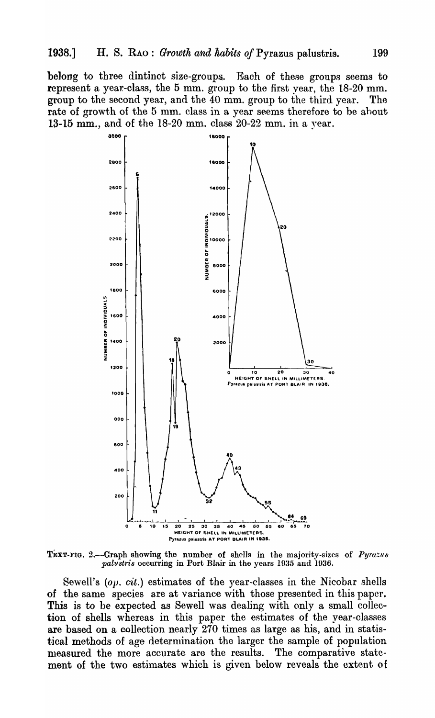belong to three dintinct size-groups. Each of these groups seems to represent a year-class, the 5 mm. group to the first vear, the 18-20 mm. group to the second year, and the 40 mm. group to the third year. The rate of growth of the 5 mm. class in a year seems therefore to be about 13-15 mm., and of the 18-20 mm. class 20-22 mm. in a year.



TEXT-FIG. 2.-Graph showing the number of shells in the majority-sizes of Pyrazus palustris occurring in Port Blair in the years 1935 and 1936.

Sewell's (op. cit.) estimates of the year-classes in the Nicobar shells of the same species are at variance with those presented in this paper. This is to be expected as Sewell was dealing with only a small collection of shells whereas in this paper the estimates of the year-classes are based on a collection nearly 270 times as large as his, and in statistical methods of age determination the larger the sample of population measured the more accurate are the results. The comparative statement of the two estimates which is given below reveals the extent of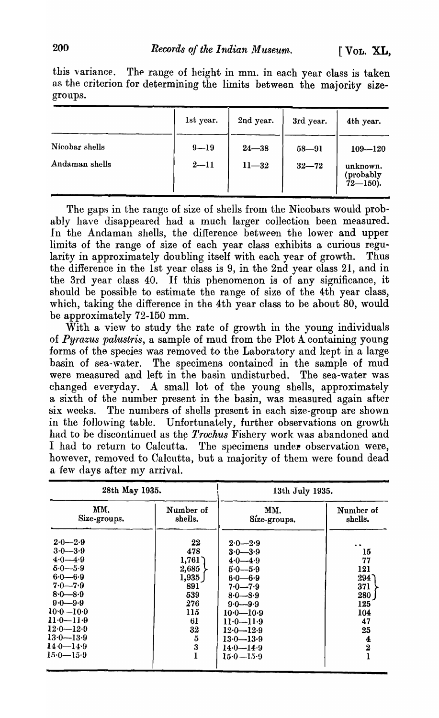this variance. The range of height in mm. in each year class is taken as the criterion for determining the limits between the majority sizegroups.

|                                  | 1st year.            | 2nd year.              | 3rd year.              | 4th year.                                             |
|----------------------------------|----------------------|------------------------|------------------------|-------------------------------------------------------|
| Nicobar shells<br>Andaman shells | $9 - 19$<br>$2 - 11$ | $24 - 38$<br>$11 - 32$ | $58 - 91$<br>$32 - 72$ | $109 - 120$<br>unknown.<br>(probably<br>$72 - 150$ ). |

The gaps in the range of size of shells from the Nicobars would probably have disappeared had a much larger collection been measured. In the Andaman shells, the difference between the lower and upper limits of the range of size of each year class exhibits a curious regularity in approximately doubling itself with each year of growth. Thus the difference in the 1st year class is 9, in the 2nd year class 21, and in the 3rd year class 40. If this phenomenon is of any significance, it should be possible to estimate the range of size of the 4th year class, which, taking the difference in the 4th year class to be about 80, would be approximately 72-150 mm.

With a view to study the rate of growth in the young individuals of *Pyrazus palustris*, a sample of mud from the Plot A containing young forms of the species was removed to the Laboratory and kept in a large basin of sea-water. The specimens contained in the sample of mud were measured and left in the basin undisturbed. The sea-water was changed everyday. A small lot of the young shells, approximately a sixth of the number present in the basin, was measured again after six weeks. The numbers of shells present in each size-group are shown in the following table. Unfortunately, further observations on growth had to be discontinued as the *Trochus* Fishery work was abandoned and I had to return to Calcutta. The specimens under observation were, however, removed to Calcutta, but a majority of them were found dead a few days after my arrival.

| 28th May 1935.                                                                                                                                                                                                           |                                                                                                   | 13th July 1935.                                                                                                                                                                                                                |                                                                                                |  |  |  |  |
|--------------------------------------------------------------------------------------------------------------------------------------------------------------------------------------------------------------------------|---------------------------------------------------------------------------------------------------|--------------------------------------------------------------------------------------------------------------------------------------------------------------------------------------------------------------------------------|------------------------------------------------------------------------------------------------|--|--|--|--|
| MM.<br>Size-groups.                                                                                                                                                                                                      | Number of<br>shells.                                                                              | MM.<br>Síze-groups.                                                                                                                                                                                                            | Number of<br>shells.                                                                           |  |  |  |  |
| $2.0 - 2.9$<br>$3.0 - 3.9$<br>$4.0 - 4.9$<br>$5.0 - 5.9$<br>$6.0 - 6.9$<br>$7.0 - 7.9$<br>$8.0 - 8.9$<br>$0.0 - 9.9$<br>$10.0 - 10.9$<br>$11.0 - 11.9$<br>$12.0 - 12.0$<br>$13.0 - 13.9$<br>$140 - 149$<br>$15.0 - 15.9$ | 22<br>478<br>1,761<br>2,685<br>1,935<br>891<br>539<br>276<br>115<br>61<br>32<br>$\bf 5$<br>3<br>ı | $2.0 - 2.9$<br>$3.0 - 3.9$<br>$4.0 - 4.9$<br>$5.0 - 5.9$<br>$6.0 - 6.9$<br>$7.0 - 7.9$<br>$8.0 - 8.9$<br>$9.0 - 9.9$<br>$10·0$ — $10·9$<br>$11.0 - 11.9$<br>$12.0 - 12.9$<br>$13.0 - 13.9$<br>$14·0$ — $14·9$<br>$15.0 - 15.9$ | 15<br>77<br>121<br>294<br>371<br>280<br>125<br>104<br>47<br>25<br>4<br>$\overline{\mathbf{2}}$ |  |  |  |  |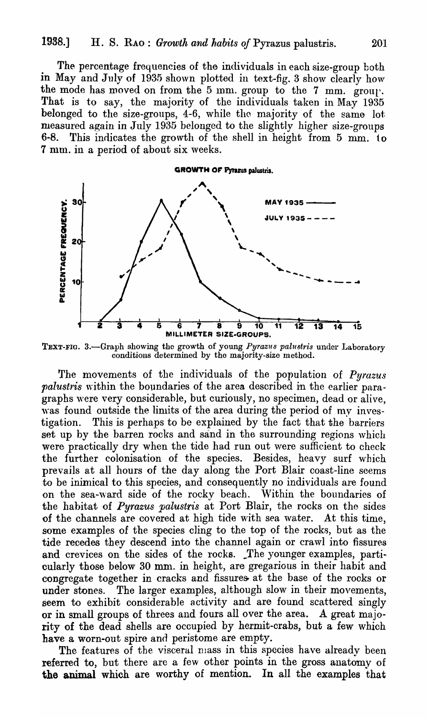The percentage frequencies of the individuals in each size-group both in May and July of 1935 shown plotted in text-fig. 3 show clearly how the mode has moved on from the 5 mm. group to the 7 mm. group. That is to say, the majority of the individuals taken in May 1935 belonged to the size-groups, 4-6, while tho majority of the same lot. measured again in July 1935 belonged to the slightly higher size-groups 6-8. This indicates the growth of the shell in height from  $5 \text{ mm}$ . to 7 mm. in a period of about six weeks.



TEXT-FIG. 3.-Graph showing the growth of young *Pyrazus palustris* under Laboratory conditions determined by the majority-size method.

The movements of the individuals of the population of *Pyrazus palustris* within the boundaries of the area described in the earlier paragraphs were very considerable, but curiously, no specimen, dead or alive, was found outside the limits of the area during the period of my investigation. This is perhaps to be explained by the fact that the barriers set up by the barren rocks and sand in the surrounding regions which were practically dry when the tide had run out were sufficient to check the further colonisation of the species. Besides, heavy surf which prevails at all hours of the day along the Port Blair coast-line seems to be inimical to this species, and consequently no individuals are found on the sea-ward side of the rocky beach. Within the boundaries of the habitat of *Pyrazus palustris* at Port Blair, the rocks on the sides of the channels are covered at high tide with sea water. At this time, some examples of the species cling to the top of the rocks, but as the tide recedes they descend into the channel again or crawl into fissures and crevices on the sides of the rocks. The younger examples, particularly those below 30 mm. in height, are gregarious in their habit and congregate together in cracks and fissures at the base of the rocks or under stones. The larger examples, although slow in their movements, seem to exhibit considerable activity and are found scattered singly or in small groups of threes and fours all over the area. A great majority of the dead shells are occupied by hermit-crabs, but a few which have a worn-out spire and peristome are empty.

The features of the visceral mass in this species have already been referred to, but there are a few other points in the gross anatomy of the animal which are worthy of mention. In all the examples that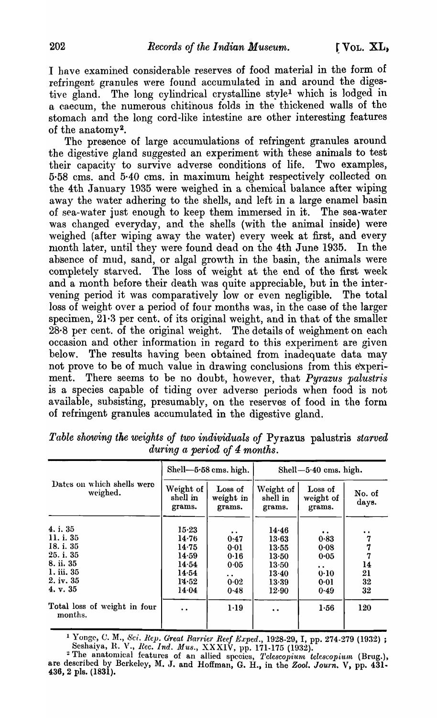I have examined considerable reserves of food material in the form of refringent granules were found accumulated in and around the digestive gland. The long cylindrical crystalline style<sup>1</sup> which is lodged in a caecum, the numerous chitinous folds in the thickened walls of the stomach and the long cord -like intestine are other interesting features of the anatomy<sup>2</sup>.

The presence of large accumulations of refringent granules around the digestive gland suggested an experiment with these animals to test<br>their capacity to survive adverse conditions of life. Two examples, their capacity to survive adverse conditions of life. 5·58 cms. and 5·40 cms. in maximum height respectively collected on the 4th January 1935 were weighed in a chemical balance after wiping away the water adhering to the shells, and left in a large enamel basin of sea-water just enough to keep them immersed in it. The sea-water was changed everyday, and the shells (with the animal inside) were weighed (after wiping away the water) every week at first, and every month later, until they were found dead on the 4th June 1935. In the absence of mud, sand, or algal growth in the basin, the animals were completely starved. The loss of weight at the end of the first week and a month before their death was quite appreciable, but in the intervening period it was comparatively low or even negligible. The total loss of weight over a period of four months was, in the case of the larger specimen,  $21·3$  per cent. of its original weight, and in that of the smaller  $28.8$  per cent. of the original weight. The details of weighment on each occasion and other information in regard to this experiment are given below. The results having been obtained from inadequate data may not prove to be of much value in drawing conclusions from this experiment. There seems to be no doubt, however, that *Pyrazus palustris* is a species capable of tiding over adverse periods when food is not available, subsisting, presumably, on the reserves of food in the form of refringent granules accumulated in the digestive gland.

|                                                                                                     |                                                                          | Shell-5.58 cms. high.                                                | Shell- $5.40$ cms. high.                                                 |                                                           |                                                         |  |  |
|-----------------------------------------------------------------------------------------------------|--------------------------------------------------------------------------|----------------------------------------------------------------------|--------------------------------------------------------------------------|-----------------------------------------------------------|---------------------------------------------------------|--|--|
| Dates on which shells were<br>weighed.                                                              | Weight of<br>shell in<br>grams.                                          | Loss of<br>weight in<br>grams.                                       | Weight of<br>shell in<br>grams.                                          | Loss of<br>weight of<br>grams.                            | No. of<br>days.                                         |  |  |
| 4. i. 35<br>11. i. 35<br>18. i. 35<br>25. i. 35<br>8. ii. 35<br>1. iii. 35<br>2. iv. 35<br>4. v. 35 | $15 - 23$<br>14.76<br>14.75<br>14.59<br>14.54<br>14.54<br>14.52<br>14.04 | 0:47<br>0.01<br>0.16<br>0.05<br>$\ddot{\phantom{a}}$<br>0.02<br>0.48 | 14.46<br>13.63<br>13.55<br>13.50<br>13.50<br>$13 - 40$<br>13.39<br>12.90 | 0.83<br>0.08<br>0.05<br>$\cdot$ .<br>0.10<br>0.01<br>0.49 | $\bullet$<br>7<br>7<br>7<br>14<br>21<br>32<br>$\bf{32}$ |  |  |
| Total loss of weight in four<br>months.                                                             | $\bullet$                                                                | $1-19$                                                               | $\bullet$ $\bullet$                                                      | 1.56                                                      | 120                                                     |  |  |

*Table showing the weights of two individuals of* Pyrazus palustris *starved during a period of* 4 *months.* 

<sup>1</sup> Yongc, C. M., *Sci. Rep. Great Rarrier Reef Exped.*, 1928-29, I, pp. 274-279 (1932) ; . Seshaiya, R. V., *Rec. Ind. Mus.*, XXXIV, pp. 171-175 (1932).

<sup>&</sup>lt;sup>2</sup> The anatomical features of an allied species, *Telescopium telescopium* (Brug.), are described by Berkeley, M. J. and Hoffman, G. H., in the *Zool. Journ*. V, pp. 431.<br>436, 2 pls. (1831).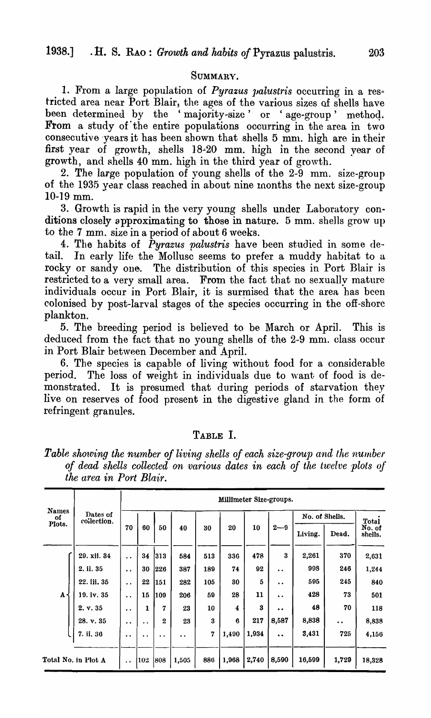#### SUMMARY.

1. From a large population of *Pyrazus palustris* occurring in a restricted area near Port Blair, the ages of the various sizes of shells have been determined by the 'majority-size' or 'age-group' method. From a study of the entire populations occurring in the area in two consecutive years it has been shown that shells 5 mm. high are in their first year of growth, shells 18-20 mm. high in the second year of growth, and shells 40 mm. high in the third year of growth.

2. The large population of young shells of the  $2-9$  mm. size-group of the 1935 year class reached in about nine months the next size-group 10-19 mm.

3. Growth is rapid in the very young shells under Laboratory conditions closely approximating to those in nature. 5 mm. shells grow up to the 7 mm. size in a period of about 6 weeks.

4. The habits of *Pyrazus palustris* have been studied in some detail. In early life the Mollusc seems to prefer a muddy habitat to a rocky or sandy one. The distribution of this species in Port Blair is restricted to a very small area. From the fact that no sexually mature individuals occur in Port Blair, it is surmised that the area has been colonised by post-larval stages of the species occurring in the off-shore plankton.

5. The breeding period is believed to be March or April. This is deduced from the fact that no young shells of the 2-9 mm. class occur in Port Blair between December and April.

6. The species is capable of living without food for a considerable period. The loss of weight in individuals due to want of food is demonstrated. It is presumed that during periods of starvation they live on reserves of food present in the digestive gland in the form of refringent granules.

#### TABLE I.

*Table showing the number of living shells of each size-group and the number of dead shells collected on ·various dates in each of the twelve plots of the area in Port Blair.* 

|                    |                         |                      | Millimeter Size-groups. |                      |         |         |                  |       |                      |                |                  |              |  |  |
|--------------------|-------------------------|----------------------|-------------------------|----------------------|---------|---------|------------------|-------|----------------------|----------------|------------------|--------------|--|--|
| <b>Names</b><br>of | Dates of<br>collection. |                      |                         |                      |         |         |                  |       |                      | No. of Shells. |                  | <b>Total</b> |  |  |
| Plots.             |                         | 70                   | 60                      | 50<br>20<br>40<br>30 | 10      | $2 - 9$ | Living.          | Dead. | No. of<br>shells.    |                |                  |              |  |  |
|                    | 29. xii. 34             | $\ddot{\phantom{a}}$ | 34                      | 313                  | 584     | 513     | 336              | 478   | 3                    | 2,261          | 370              | 2,631        |  |  |
|                    | 2. ii. 35               | $\ddot{\bullet}$     | 30                      | 226                  | 387     | 189     | 74               | 92    | $\cdot$              | 998            | 246              | 1,244        |  |  |
|                    | 22. iii. 35             | $\ddot{\phantom{0}}$ | 22                      | 151                  | 282     | 105     | 80               | 5     | $\ddot{\bullet}$     | 595            | 245              | 840          |  |  |
| A                  | 19. iv. 35              | $\ddot{\phantom{0}}$ | 15                      | 109                  | 206     | 59      | 28               | 11    | $\ddot{\phantom{1}}$ | 428            | 73               | 501          |  |  |
|                    | 2. v. 35                | $\ddot{\phantom{0}}$ | 1                       | 7                    | 23      | 10      | 4                | 3     | $\bullet$            | 48             | 70               | 118          |  |  |
|                    | 28. v. 35               | $\ddot{\bullet}$     | . .                     | $\bf{2}$             | 23      | 3       | $\boldsymbol{6}$ | 217   | 8,587                | 8,838          | $\ddot{\bullet}$ | 8,838        |  |  |
|                    | 7. ii. 36               | $\bullet\bullet$     | $\bullet\ \bullet$      | $\cdot$              | $\cdot$ | 7       | 1,490            | 1,934 | $\bullet$            | 3,431          | 725              | 4,156        |  |  |
|                    | Total No. in Plot A     | $\ddot{\phantom{0}}$ | 1.02                    | 808                  | 1,505   | 886     | 1,968            | 2,740 | 8,590                | 16,599         | 1,729            | 18,328       |  |  |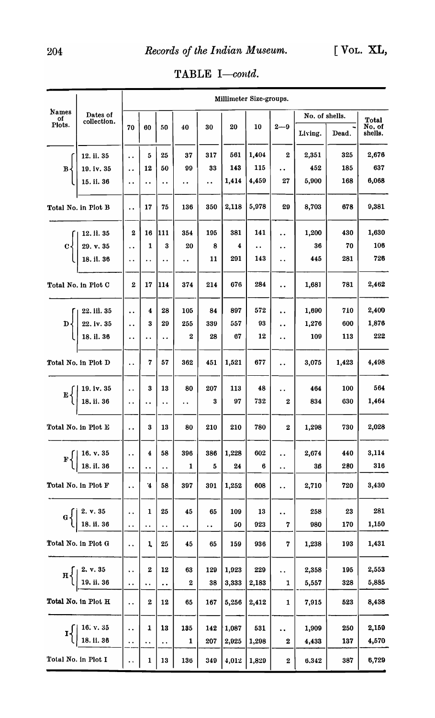|                              |                                                                                                                      |                                              | Millimeter Size-groups. |                        |                      |                      |       |                      |                           |                           |       |                            |  |  |
|------------------------------|----------------------------------------------------------------------------------------------------------------------|----------------------------------------------|-------------------------|------------------------|----------------------|----------------------|-------|----------------------|---------------------------|---------------------------|-------|----------------------------|--|--|
| <b>Names</b><br>Οf<br>Plots. | Dates of<br>collection.                                                                                              | 70                                           | 60                      | 50                     | 40                   | 30                   | 20    | 10                   | $2 - 9$                   | No. of shells.<br>Living. | Dead. | Total<br>No. of<br>shells. |  |  |
|                              |                                                                                                                      |                                              |                         |                        |                      |                      |       |                      |                           |                           |       |                            |  |  |
|                              | 12. ii. 35                                                                                                           | $\ddot{\phantom{a}}$                         | 5                       | 25                     | 37                   | 317                  | 561   | 1,404                | $\bf{2}$                  | 2,351                     | 325   | 2,676                      |  |  |
| $\mathbf{B}$                 | 19. iv. 35                                                                                                           | $\ddot{\phantom{0}}$                         | 12                      | 50                     | 99                   | 33                   | 143   | 115                  | $\ddot{\phantom{0}}$      | 452                       | 185   | 637                        |  |  |
|                              | 15. ii. 36                                                                                                           | $\ddot{\phantom{a}}$                         | $\ddot{\phantom{0}}$    | $\ddot{\phantom{a}}$   | $\ddot{\phantom{1}}$ | $\ddot{\phantom{0}}$ | 1,414 | 4,459                | 27                        | 5,900                     | 168   | 6,068                      |  |  |
|                              | Total No. in Plot B                                                                                                  | $\ddot{\phantom{a}}$                         | 17                      | 75                     | 136                  | 350                  | 2,118 | 5,978                | 29                        | 8,703                     | 678   | 9,381                      |  |  |
|                              | 12. ii. 35                                                                                                           | $\bf{2}$                                     | 16                      | 111                    | 354                  | 195                  | 381   | 141                  | $\ddot{\phantom{0}}$      | 1,200                     | 430   | 1,630                      |  |  |
| $C\left\{$                   | 29. v. 35                                                                                                            | $\ddot{\phantom{0}}$                         | 1                       | 3                      | 20                   | 8                    | 4     | $\ddot{\phantom{0}}$ | $\ddot{\phantom{a}}$      | 36                        | 70    | 106                        |  |  |
|                              | 18. ii. 36                                                                                                           | $\ddot{\phantom{0}}$                         | . .                     | $\ddot{\phantom{1}}$   | $\ddot{\phantom{a}}$ | 11                   | 291   | 143                  | $\ddot{\phantom{0}}$      | 445                       | 281   | 726                        |  |  |
|                              | Total No. in Plot C                                                                                                  | $\boldsymbol{2}$                             | 17                      | 114                    | 374                  | 214                  | 676   | 284                  | $\ddot{\phantom{a}}$      | 1,681                     | 781   | 2,462                      |  |  |
|                              | 22. iil. 35                                                                                                          | $\ddot{\phantom{a}}$                         | 4                       | 28                     | 105                  | 84                   | 897   | 572                  | $\ddot{\phantom{a}}$      | 1,690                     | 710   | 2,400                      |  |  |
| D٠                           | 22. iv. 35                                                                                                           | $\ddot{\phantom{0}}$                         | 3                       | 29                     | 255                  | 339                  | 557   | 93                   | $\ddot{\phantom{0}}$      | 1,276                     | 600   | 1,876                      |  |  |
|                              | 18. il. 36                                                                                                           | $\ddot{\phantom{0}}$                         | . .                     | $\ddot{\phantom{a}}$   | $\mathbf 2$          | 28                   | 67    | 12                   | $\ddot{\phantom{0}}$      | 109                       | 113   | 222                        |  |  |
|                              | Total No. in Plot D                                                                                                  | $\ddot{\phantom{a}}$                         | 7                       | 57                     | 362                  | 451                  | 1,521 | 677                  | $\ddot{\phantom{a}}$      | 3,075                     | 1,423 | 4,498                      |  |  |
|                              | 19. iv. 35                                                                                                           | $\ddot{\phantom{a}}$                         | 3                       | 13                     | 80                   | 207                  | 113   | 48                   | . .                       | 464                       | 100   | 564                        |  |  |
| ${\bf E}$                    | 18. ii. 36                                                                                                           | $\ddot{\phantom{a}}$                         | . .                     | $\ddot{\phantom{0}}$   | $\ddot{\phantom{0}}$ | 3                    | 97    | 732                  | $\boldsymbol{2}$          | 834                       | 630   | 1,464                      |  |  |
|                              | Total No. in Plot E                                                                                                  | $\ddot{\phantom{0}}$                         | 3                       | 13                     | 80                   | 210                  | 210   | 780                  | $\bf{2}$                  | 1,298                     | 730   | 2,028                      |  |  |
|                              |                                                                                                                      | $\ddot{\phantom{0}}$                         | 4                       | 58                     | 396                  | 386                  | 1,228 | 602                  | . .                       | 2,674                     | 440   | 3,114                      |  |  |
|                              | $F\left\{ \left\vert \begin{array}{l} 16. \text{ v. } 35 \ 18. \text{ ii. } 36 \end{array} \right. \right.$          | $\ddot{\phantom{a}}$                         | $\ddot{\phantom{0}}$    | $\ddot{\phantom{1}}$ . | 1                    | 5                    | 24    | 6                    | . .                       | 36                        | 280   | 316                        |  |  |
|                              | Total No. in Plot F                                                                                                  | $\ddot{\phantom{0}}$                         | $\mathbf{4}$            | 58                     | 397                  | 391                  | 1,252 | 608                  | $\ddot{\phantom{1}}$      | 2,710                     | 720   | 3,430                      |  |  |
|                              |                                                                                                                      |                                              | 1                       | 25                     | 45                   | 65                   | 109   | 13                   | $\ddot{\phantom{0}}$      | 258                       | 23    | 281                        |  |  |
|                              | $G\left\{ \left. \begin{array}{l} \text{2. v. 35} \\ \text{18. ii. 36} \end{array} \right. \right.$                  | $\ddot{\phantom{0}}$                         | $\ddot{\phantom{0}}$    | $\ddot{\phantom{0}}$   | $\ddot{\phantom{0}}$ | $\cdot$ .            | 50    | 923                  | 7                         | 980                       | 170   | 1,150                      |  |  |
|                              | Total No. in Plot G                                                                                                  | $\ddot{\phantom{0}}$                         | 1                       | 25                     | 45                   | 65                   | 159   | 936                  | 7                         | 1,238                     | 193   | 1,431                      |  |  |
|                              |                                                                                                                      |                                              | 2                       | 12                     | 63                   | 129                  | 1,923 | 229                  | $\ddot{\phantom{1}}$      | 2,358                     | 195   | 2,553                      |  |  |
|                              | $H\left\{\left \begin{array}{c} 2, & v. 35 \\ 19, & \text{ii. } 36 \end{array}\right \right\}$                       | $\ddot{\phantom{a}}$                         | $\ddot{\phantom{1}}$    | $\ddot{\phantom{a}}$ . | $\boldsymbol{2}$     | 38                   | 3,333 | 2,183                | 1                         | 5,557                     | 328   | 5,885                      |  |  |
|                              | Total No. in Plot H                                                                                                  | $\ddot{\phantom{0}}$                         | $\boldsymbol{2}$        | 12                     | 65                   | 167                  | 5,256 | 2,412                | 1                         | 7,915                     | 523   | 8,438                      |  |  |
|                              |                                                                                                                      |                                              | $\mathbf{1}$            | 13                     | 135                  | 142                  | 1,087 | 531                  |                           | 1,909                     | 250   | 2,159                      |  |  |
|                              | $\mathbf{I}$ $\left\{ \left  \begin{array}{l} 16. \text{ v. } 35 \\ 18. \text{ ii. } 36 \end{array} \right. \right.$ | $\ddot{\phantom{0}}$<br>$\ddot{\phantom{0}}$ | $\ddot{\phantom{1}}$    | $\ddot{\phantom{0}}$   | 1                    | 207                  | 2,025 | 1,208                | $\ddot{\phantom{1}}$<br>2 | 4,433                     | 137   | 4,570                      |  |  |
|                              | Total No. in Plot I                                                                                                  | $\ddot{\phantom{0}}$                         | 1                       | 13                     | 136                  | 349                  | 4,012 | 1,829                | $\boldsymbol{2}$          | 6,342                     | 387   | 6,729                      |  |  |

TABLE I-contd.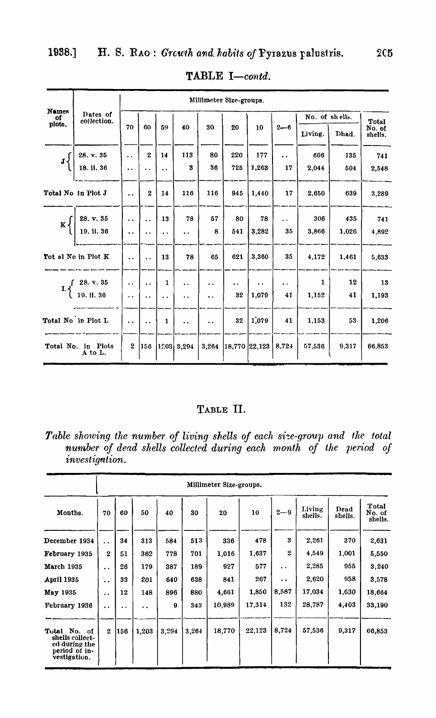|                              |                                                       | Millimeter Size-groups. |                      |                      |                      |                      |                      |                      |                      |                |              |                   |  |
|------------------------------|-------------------------------------------------------|-------------------------|----------------------|----------------------|----------------------|----------------------|----------------------|----------------------|----------------------|----------------|--------------|-------------------|--|
| <b>Names</b><br>of<br>plots. | Dates of<br>collection.                               |                         |                      |                      |                      |                      |                      |                      |                      | No. of shells. | <b>Total</b> |                   |  |
|                              |                                                       | 70                      | 60                   | 59                   | 40                   | 30                   | 20                   | 10                   | $2 - 6$              | Living.        | Dhad.        | No. of<br>shells. |  |
|                              | 28. v. 35                                             | $\ddot{\phantom{a}}$    | $\mathbf{2}$         | 14                   | 113                  | 80                   | 220                  | 177                  | $\ddot{\phantom{a}}$ | 606            | 135          | 741               |  |
| $J\left\{ \right.$           | 18. ii. 36                                            | $\ddot{\phantom{0}}$    | $\ddot{\phantom{a}}$ | $\ddot{\phantom{a}}$ | 3                    | 36                   | 725                  | 1,263                | 17                   | 2,044          | 504          | 2,548             |  |
|                              | Total No in Plot J                                    | $\ddot{\phantom{a}}$    | $\mathbf{2}$         | 14                   | 116                  | 116                  | 945                  | 1,440                | 17                   | 2,650          | 639          | 3,289             |  |
| $\mathbf{K}$                 | 28. v. 35                                             | $\ddot{\phantom{a}}$    | $\ddot{\phantom{a}}$ | 13                   | 78                   | 57                   | 80                   | 78                   | $\ddot{\phantom{0}}$ | 306            | 435          | 741               |  |
|                              | 19. ii. 36                                            | $\ddot{\phantom{0}}$    | $\ddot{\phantom{0}}$ | $\ddot{\phantom{0}}$ | $\ddot{\phantom{a}}$ | 8                    | 541                  | 3,282                | 35                   | 3,866          | 1,026        | 4,892             |  |
|                              | Tot al No in Plot K                                   | $\ddot{\phantom{a}}$    | $\ddot{\phantom{0}}$ | 13                   | 78                   | 65                   | 621                  | 3,360                | 35                   | 4,172          | 1,461        | 5,633             |  |
|                              | $L \begin{cases} 28. v. 35 \\ 19. i1. 36 \end{cases}$ | $\ddot{\phantom{a}}$    | $\ddot{\phantom{a}}$ | $\mathbf{1}$         | $\ddot{\phantom{a}}$ | . .                  | $\ddot{\phantom{0}}$ | $\ddot{\phantom{1}}$ | $\cdot$ .            | 1              | 12           | 13                |  |
|                              |                                                       | $\ddot{\phantom{a}}$    | $\ddot{\phantom{0}}$ | $\ddot{\phantom{a}}$ | $\ddot{\phantom{0}}$ | $\ddot{\phantom{0}}$ | 32                   | 1,079                | 41                   | 1,152          | 41           | 1,193             |  |
|                              | Total No in Plot L                                    | $\ddot{\phantom{a}}$    | $\ddot{\phantom{0}}$ | $\mathbf{1}$         | $\ddot{\phantom{a}}$ | $\ddot{\phantom{a}}$ | 32                   | 1,079                | 41                   | 1,153          | 53           | 1,206             |  |
|                              | Total No. in Plots<br>A to L.                         | $\boldsymbol{2}$        | 156                  | 1203                 | 3,294                | 3,264                |                      | 18,770  22,123       | 8,724                | 57,536         | 9,317        | 66,853            |  |

TABLE I-contd.

# TABLE II.

Table showing the number of living shells of each size-group and the total number of dead shells collected during each month of the period of investigation.

|                                                                                   | Millimeter Size-groups. |                      |       |       |       |        |        |                      |                   |                 |                            |  |
|-----------------------------------------------------------------------------------|-------------------------|----------------------|-------|-------|-------|--------|--------|----------------------|-------------------|-----------------|----------------------------|--|
| Months.                                                                           | 70                      | 60                   | 50    | 40    | 30    | 20     | 10     | $2 - 9$              | Living<br>shells. | Dead<br>shells. | Total<br>No. of<br>shells. |  |
| December 1934                                                                     | $\ddot{\phantom{0}}$    | 34                   | 313   | 584   | 513   | 336    | 478    | 3                    | 2,261             | 370             | 2,631                      |  |
| February 1935                                                                     | $\mathbf{2}$            | 51                   | 362   | 778   | 701   | 1,016  | 1,637  | $\mathbf{2}$         | 4.549             | 1,001           | 5,550                      |  |
| <b>March 1935</b>                                                                 | $\ddot{\phantom{a}}$    | 26                   | 179   | 387   | 189   | 927    | 577    | $\cdot$ .            | 2,285             | 955             | 3,240                      |  |
| <b>April 1935</b>                                                                 | $\ddot{\phantom{a}}$    | 33                   | 201   | 640   | 638   | 841    | 267    | $\ddot{\phantom{0}}$ | 2,620             | 958             | 3,578                      |  |
| May 1935                                                                          | $\ddot{\bullet}$        | 12                   | 148   | 896   | 880   | 4,661  | 1,850  | 8,587                | 17,034            | 1,630           | 18,664                     |  |
| February 1936                                                                     | $\ddot{\phantom{a}}$    | $\ddot{\phantom{0}}$ | ٠.    | 9     | 343   | 10,989 | 17,314 | 132                  | 28,787            | 4,403           | 33,190                     |  |
|                                                                                   |                         |                      |       |       |       |        |        |                      |                   |                 |                            |  |
| Total No. of<br>shells collect-<br>ed during the<br>period of in-<br>vestigation. | $\mathbf{2}$            | 156                  | 1,203 | 3,294 | 3,264 | 18,770 | 22,123 | 8,724                | 57,536            | 9,317           | 66,853                     |  |